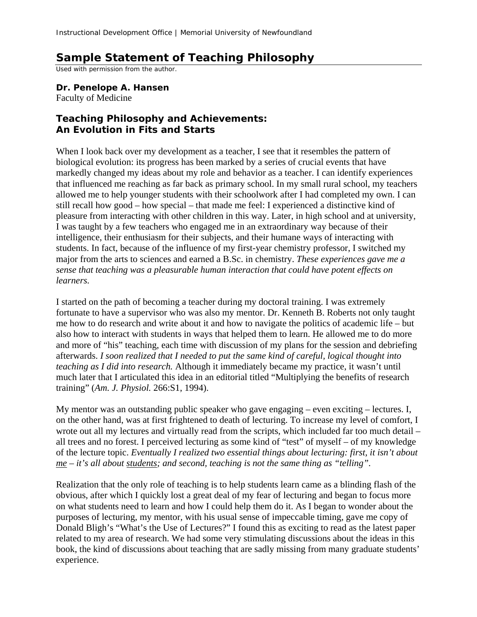## **Sample Statement of Teaching Philosophy**

Used with permission from the author.

**Dr. Penelope A. Hansen** 

Faculty of Medicine

## **Teaching Philosophy and Achievements: An Evolution in Fits and Starts**

When I look back over my development as a teacher, I see that it resembles the pattern of biological evolution: its progress has been marked by a series of crucial events that have markedly changed my ideas about my role and behavior as a teacher. I can identify experiences that influenced me reaching as far back as primary school. In my small rural school, my teachers allowed me to help younger students with their schoolwork after I had completed my own. I can still recall how good – how special – that made me feel: I experienced a distinctive kind of pleasure from interacting with other children in this way. Later, in high school and at university, I was taught by a few teachers who engaged me in an extraordinary way because of their intelligence, their enthusiasm for their subjects, and their humane ways of interacting with students. In fact, because of the influence of my first-year chemistry professor, I switched my major from the arts to sciences and earned a B.Sc. in chemistry. *These experiences gave me a sense that teaching was a pleasurable human interaction that could have potent effects on learners.*

I started on the path of becoming a teacher during my doctoral training. I was extremely fortunate to have a supervisor who was also my mentor. Dr. Kenneth B. Roberts not only taught me how to do research and write about it and how to navigate the politics of academic life – but also how to interact with students in ways that helped them to learn. He allowed me to do more and more of "his" teaching, each time with discussion of my plans for the session and debriefing afterwards. *I soon realized that I needed to put the same kind of careful, logical thought into teaching as I did into research.* Although it immediately became my practice, it wasn't until much later that I articulated this idea in an editorial titled "Multiplying the benefits of research training" (*Am. J. Physiol.* 266:S1, 1994).

My mentor was an outstanding public speaker who gave engaging – even exciting – lectures. I, on the other hand, was at first frightened to death of lecturing. To increase my level of comfort, I wrote out all my lectures and virtually read from the scripts, which included far too much detail – all trees and no forest. I perceived lecturing as some kind of "test" of myself – of my knowledge of the lecture topic. *Eventually I realized two essential things about lecturing: first, it isn't about me – it's all about students; and second, teaching is not the same thing as "telling".*

Realization that the only role of teaching is to help students learn came as a blinding flash of the obvious, after which I quickly lost a great deal of my fear of lecturing and began to focus more on what students need to learn and how I could help them do it. As I began to wonder about the purposes of lecturing, my mentor, with his usual sense of impeccable timing, gave me copy of Donald Bligh's "What's the Use of Lectures?" I found this as exciting to read as the latest paper related to my area of research. We had some very stimulating discussions about the ideas in this book, the kind of discussions about teaching that are sadly missing from many graduate students' experience.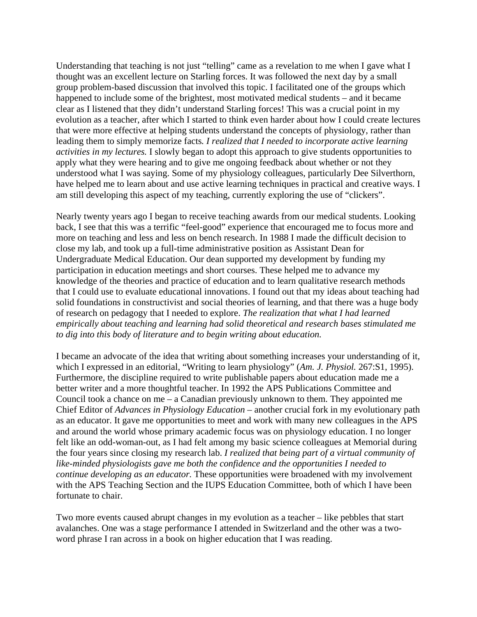Understanding that teaching is not just "telling" came as a revelation to me when I gave what I thought was an excellent lecture on Starling forces. It was followed the next day by a small group problem-based discussion that involved this topic. I facilitated one of the groups which happened to include some of the brightest, most motivated medical students – and it became clear as I listened that they didn't understand Starling forces! This was a crucial point in my evolution as a teacher, after which I started to think even harder about how I could create lectures that were more effective at helping students understand the concepts of physiology, rather than leading them to simply memorize facts*. I realized that I needed to incorporate active learning activities in my lectures.* I slowly began to adopt this approach to give students opportunities to apply what they were hearing and to give me ongoing feedback about whether or not they understood what I was saying. Some of my physiology colleagues, particularly Dee Silverthorn, have helped me to learn about and use active learning techniques in practical and creative ways. I am still developing this aspect of my teaching, currently exploring the use of "clickers".

Nearly twenty years ago I began to receive teaching awards from our medical students. Looking back, I see that this was a terrific "feel-good" experience that encouraged me to focus more and more on teaching and less and less on bench research. In 1988 I made the difficult decision to close my lab, and took up a full-time administrative position as Assistant Dean for Undergraduate Medical Education. Our dean supported my development by funding my participation in education meetings and short courses. These helped me to advance my knowledge of the theories and practice of education and to learn qualitative research methods that I could use to evaluate educational innovations. I found out that my ideas about teaching had solid foundations in constructivist and social theories of learning, and that there was a huge body of research on pedagogy that I needed to explore. *The realization that what I had learned empirically about teaching and learning had solid theoretical and research bases stimulated me to dig into this body of literature and to begin writing about education.*

I became an advocate of the idea that writing about something increases your understanding of it, which I expressed in an editorial, "Writing to learn physiology" (*Am. J. Physiol.* 267:S1, 1995). Furthermore, the discipline required to write publishable papers about education made me a better writer and a more thoughtful teacher. In 1992 the APS Publications Committee and Council took a chance on me – a Canadian previously unknown to them. They appointed me Chief Editor of *Advances in Physiology Education* – another crucial fork in my evolutionary path as an educator. It gave me opportunities to meet and work with many new colleagues in the APS and around the world whose primary academic focus was on physiology education. I no longer felt like an odd-woman-out, as I had felt among my basic science colleagues at Memorial during the four years since closing my research lab. *I realized that being part of a virtual community of like-minded physiologists gave me both the confidence and the opportunities I needed to continue developing as an educator.* These opportunities were broadened with my involvement with the APS Teaching Section and the IUPS Education Committee, both of which I have been fortunate to chair.

Two more events caused abrupt changes in my evolution as a teacher – like pebbles that start avalanches. One was a stage performance I attended in Switzerland and the other was a twoword phrase I ran across in a book on higher education that I was reading.